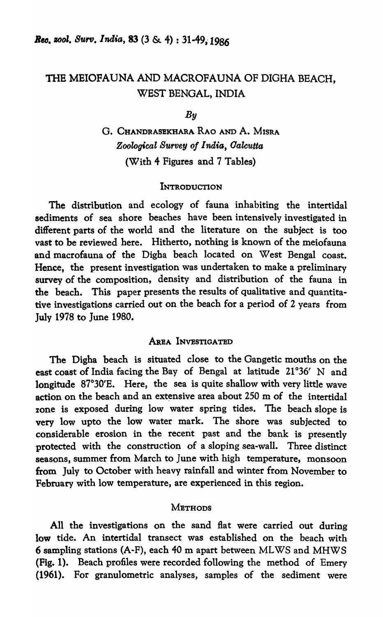# THE MEIOFAUNA AND MACROFAUNA OF DIGHA BEACH, WEST BENGAL, INDIA

*By* 

# G. CHANDRASEKHARA RAO AND A. MISRA *Zoological Survey 0/* 1 *naia, Oalcutta*  (With 4 Figures and 7 Tables)

# INTRODUCTION

The distribution and ecology of fauna inhabiting the intertidal sediments of sea shore beaches have been intensively investigated in different parts of the world and the literature on the subject is too vast to be reviewed here. Hitherto, nothing is known of the meiofauna and macrofauna of the Digba beach located on West Bengal coast. Hence, the present investigation was undertaken to make a preliminary survey of the composition, density and distribution of the fauna in the beach. This paper presents the results of qualitative and quantitative investigations carried out on the beach for a period of 2 years from July 1978 to June 1980.

### AREA INVESTIGATBD

The Digha beach is situated close to the Gangetic mouths on the east coast of India facing the Bay of Bengal at latitude  $21^{\circ}36'$  N and longitude 87°30'E. Here, the sea is quite shallow with very little wave action on the beach and an extensive area about  $250$  m of the intertidal zone is exposed during low water spring tides. The beach slope is very low upto the low water mark. The shore was subjected to considerable erosion in the recent past and the bank is presently protected with the construction of a sloping sea-wall. Three distinct seasons, summer from March to June with high temperature, monsoon from July to October with heavy rainfall and winter from November to February with low temperature, are experienced in this region.

#### **METHODS**

All the investigations on the sand flat were carried out during low tide. An intertidal transect was established on the beach with 6 sampling stations (A-F), each 40 m apart between ML WS and MHWS (Fig. 1). Beach profiles were recorded following the method of Emery (1961). For granulometric analyses, samples of the sediment were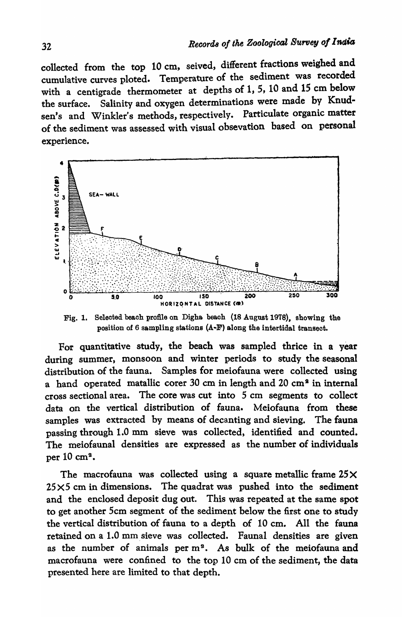collected from the top 10 cm, seived, different fractions weighed and cumulative curves ploted. Temperature of the sediment was recorded with a centigrade thermometer at depths of 1, 5, 10 and 15 em below the surface. Salinity and oxygen determinations were made by Knudsen's and Winkler's methods, respectively. Particulate organic matter of the sediment was assessed with visual obsevation based on personal experience.



Fig. 1. Selected beach profile on Digha. beach (18 August 1978), showing the position of 6 sampling stations (A-F) along the intertidal transect.

For quantitative study, the beach was sampled thrice in a year during summer, monsoon and winter periods to study the seasonal distribution of the fauna. Samples for meiofauna were collected using a hand operated matallic corer 30 cm in length and 20 cm<sup>2</sup> in internal cross sectional area. The core was cut into 5 cm segments to collect data on the vertical distribution of fauna. Meiofauna from these samples was extracted by means of decanting and sieving. The fauna passing through 1.0 mm sieve was collected, identified and counted. The meiofaunal densities are expressed as the number of individuals per  $10 \text{ cm}^2$ .

The macrofauna was collected using a square metallic frame  $25 \times$  $25\times5$  cm in dimensions. The quadrat was pushed into the sediment and the enclosed deposit dug out. This was repeated at the same spot to get another 5cm segment of the sediment below the first one to study the vertical distribution of fauna to a depth of 10 em. All the fauna retained on a 1.0 mm.sieve was collected. Faunal densities are given as the number of animals per  $m^2$ . As bulk of the meiofauna and macrofauna were confined to the top 10 cm of the sediment, the data presented here are limited to that depth.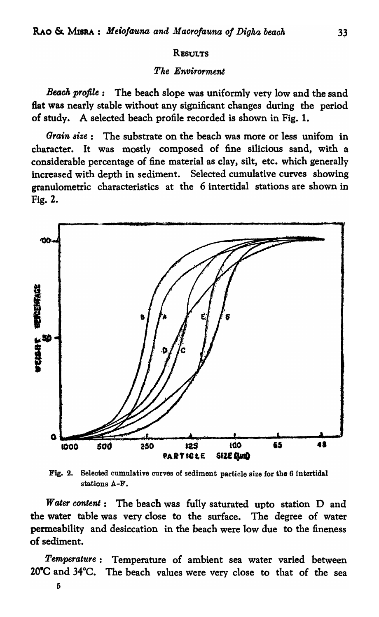#### **RESULTS**

### The Envirorment

Beach profile: The beach slope was uniformly very low and the sand flat was nearly stable without any significant changes during the period of study. A selected beach profile recorded is shown in Fig. 1.

Grain size: The substrate on the beach was more or less unifom in character. It was mostly composed of fine silicious sand, with a considerable percentage of fine material as clay, silt, etc. which generally increased with depth in sediment. Selected cumulative curves showing granulometric characteristics at the 6 intertidal stations are shown in Fig. 2.



Fig. 2. Selected cumulative curves of sediment particle size for the 6 intertidal stations A-F.

Water content: The beach was fully saturated upto station D and the water table was very close to the surface. The degree of water permeability and desiccation in the beach were low due to the fineness of sediment.

Temperature: Temperature of ambient sea water varied between 20°C and 34°C. The beach values were very close to that of the sea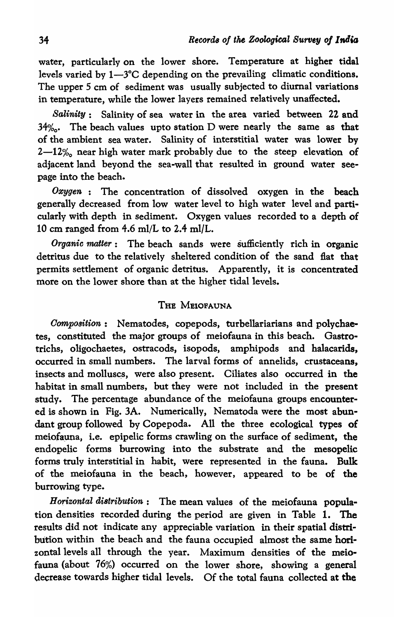water, particularly on the lower shore. Temperature at higher tidal levels varied by  $1-3$ °C depending on the prevailing climatic conditions. The upper 5 cm of sediment was usually subjected to diurnal variations in temperature, while the lower layers remained relatively unaffected.

*Salinity:* Salinity of sea water in the area varied between 22 and  $34\%$ . The beach values upto station D were nearly the same as that of the ambient sea water. Salinity of interstitial water was lower by  $2-12%$  near high water mark probably due to the steep elevation of adjacent land beyond the sea-wall that resulted in ground water seepage into the beach.

Oxygen : The concentration of dissolved oxygen in the beach generally decreased from low water level to high water level and particularly with depth in sediment. Oxygen values recorded to a depth of 10 cm ranged from  $4.6$  ml/L to  $2.4$  ml/L.

*Organic matter*: The beach sands were sufficiently rich in organic dettitus due to the relatively sheltered condition of the sand flat that permits settlement of organic detritus. Apparently, it is concentrated more on the lower shore than at the higher tidal levels.

# THE MEIOFAUNA

*Oomposition:* Nematodes, copepods, turbellariarians and polychaetes, constituted the major groups of meiofauna in this beach. Gastrotrichs, oligochaetes, ostracods, isopods, amphipods and halacarids, occurred in small numbers. The larval forms of annelids, crustaceans, insects and molluscs, were also present. Ciliates also occurred in the habitat in small numbers, but they were not included in the present study. The percentage abundance of the meiofauna groups encountered is shown in Fig.3A. Numerically, Nematoda were the most abundant group followed by Copepoda. All the three ecological types of meiofauna, i.e. epipelic forms crawling on the surface of sediment, the endopelic forms burrowing into the substrate and the mesopelic forms truly interstitial in habit, were represented in the fauna. Bulk of the meiofauna in the beach, however, appeared to be of the burrowing type.

*Horizontal distribution:* The mean values of the meiofauna population densities recorded during the period are given in Table 1. The results did not indicate any appreciable variation in their spatial distribution within the beach and the fauna occupied almost the same horizontal levels all through the year. Maximum densities of the meiofauna (about 76%) occurred on the lower shore, showing a general decrease towards higher tidal levels. Of the total fauna collected at the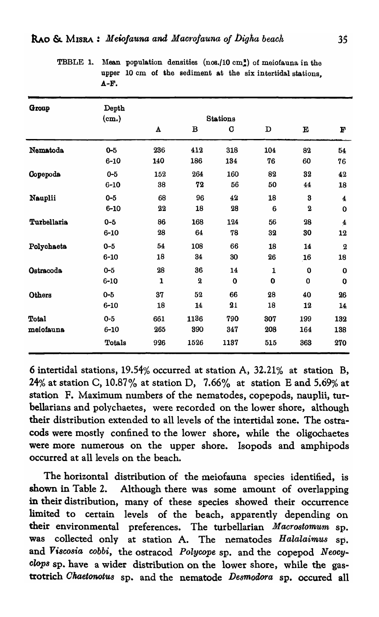| TBBLE 1. Mean popt |             |  |
|--------------------|-------------|--|
|                    | upper 10 c. |  |
|                    |             |  |

ulation densities  $(n \circ s. / 10 \circ m)^2$  of meiofauna in the m of the sediment at the six intertidal stations, A-F.

| Group        | Depth               |                    |             |                                |             |                         |                         |
|--------------|---------------------|--------------------|-------------|--------------------------------|-------------|-------------------------|-------------------------|
|              | $(c_{\mathbf{m.}})$ | $\pmb{\mathtt{A}}$ | $\bf{B}$    | <b>Stations</b><br>$\mathbf C$ | $\mathbf D$ | $\mathbf E$             | $\mathbf F$             |
| Nematoda     | $0 - 5$             | 236                | 412         | 318                            | 104         | 82                      | 54                      |
|              | $6 - 10$            | 140                | 186         | 134                            | 76          | 60                      | 76                      |
| Copepoda     | $0 - 5$             | 152                | 264         | 160                            | 82          | 32                      | 42                      |
|              | $6 - 10$            | 38                 | 72          | 56                             | 50          | 44                      | 18                      |
| Nauplii      | $0 - 5$             | 68                 | 96          | 42                             | 18          | $\bf{3}$                | $\overline{\mathbf{4}}$ |
|              | $6 - 10$            | 22                 | 18          | 28                             | 6           | $\overline{\mathbf{2}}$ | $\mathbf 0$             |
| Turbellaria  | $0 - 5$             | 86                 | 168         | 124                            | 56          | 28                      | $\overline{\mathbf{4}}$ |
|              | $6 - 10$            | 28                 | 64          | 78                             | 32          | 30                      | 12                      |
| Polychaeta   | $0 - 5$             | 54                 | 108         | 66                             | 18          | 14                      | $\bf{2}$                |
|              | $6 - 10$            | 18                 | 34          | 30                             | 26          | 16                      | 18                      |
| Ostracoda    | $0 - 5$             | 28                 | 36          | 14                             | 1           | $\bf{0}$                | $\bf{0}$                |
|              | $6 - 10$            | $\mathbf{1}$       | $\mathbf 2$ | $\mathbf 0$                    | $\mathbf 0$ | $\bf{0}$                | $\bf{0}$                |
| Others       | $0 - 5$             | 37                 | 52          | 66                             | 28          | 40                      | 26                      |
|              | $6 - 10$            | 18                 | 14          | 21                             | 18          | 12                      | 14                      |
| <b>Total</b> | $0-5$               | 661                | 1136        | 790                            | 307         | 199                     | 132                     |
| meiofauna    | $6 - 10$            | 265                | 390         | 347                            | 208         | 164                     | 138                     |
|              | Totals              | 926                | 1526        | 1137                           | 515         | 363                     | 270                     |

6 intertidal stations, 19.54% occurred at station A, 32.21% at station B, 24% at station C, 10.87% at station D, 7.66% at station E and 5.69% at station F. Maximum numbers of the nematodes, copepods, nauplii, turbellarians and polychaetes, were recorded on the lower shore, although their distribution extended to all levels of the intertidal zone. The ostracods were mostly confined to the lower shore, while the oligochaetes were more numerous on the upper shore. Isopods and amphipods occurred at all levels on the beach.

The horizontal distribution of the meiofauna species identified, is shown in Table 2. Although there was some amount of overlapping in their distribution, many of these species showed their occurrence limited to certain levels of the beach, apparently depending on their environmental preferences. The turbellarian *Macrostomum* sp. was collected only at station A. The nematodes *Halalaimus* sp. and *Vi8C08ia oobbi,* the ostracod *Polycope* sp. and the copepod *Neocy-Clop8* sp. have a wider distribution on the lower shore, while the gastrotrich *Okaetonotu8* sp. and the nematode *Desmodora* sp. occured all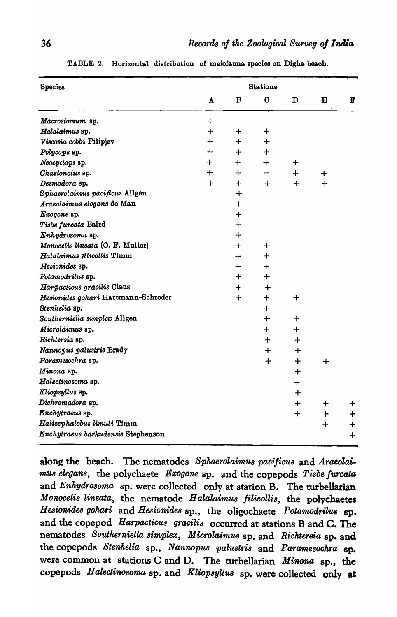| Species                             |              |                      | <b>Stations</b> |          |              |              |
|-------------------------------------|--------------|----------------------|-----------------|----------|--------------|--------------|
|                                     | $\mathbf{A}$ | B                    | C               | D        | $\mathbf{E}$ | $\mathbf{F}$ |
| Macrostomum sp.                     | ᆠ            |                      |                 |          |              |              |
| Halalaimus sp.                      | $\div$       | ┿                    | $\div$          |          |              |              |
| Viscosia cobbi Filipjev             | $\mathbf +$  | $+$                  | ┿               |          |              |              |
| Polycope sp.                        | $\mathbf +$  | ┿                    | $\div$          |          |              |              |
| Neocyclops sp.                      | $\div$       | $+$                  | $+$             | $\div$   |              |              |
| Chaetonotus sp.                     | $\bm{+}$     | $+$ $-$              | $+$             | $+$      | ┿            |              |
| Desmodora sp.                       | $\div$       | $\div$               | $+$             | $+$      | $+$          |              |
| Sphaerolaimus pacificus Allgen      |              | $\div$               |                 |          |              |              |
| Araeolaimus elegans de Man          |              | $\div$               |                 |          |              |              |
| Exogone sp.                         |              | $+$                  |                 |          |              |              |
| Tisbe furcata Baird                 |              | $+$                  |                 |          |              |              |
| Enhydrosoma sp.                     |              | $+$                  |                 |          |              |              |
| Monocelis lineata (O. F. Muller)    |              | $\div$               | $\div$          |          |              |              |
| Halalaimus filicollis Timm          |              | $+$                  | $\div$          |          |              |              |
| Hesionides sp.                      |              | ┿                    | $\ddot{}$       |          |              |              |
| Potamodrilus sp.                    |              | $\pm$                | $\div$          |          |              |              |
| Harpacticus gracilis Claus          |              | $\ddot{\phantom{1}}$ | $\div$          |          |              |              |
| Hesionides gohari Hartmann-Schroder |              | $\div$               | $\div$          | $\div$   |              |              |
| Stenhelia sp.                       |              |                      | $\div$          |          |              |              |
| Southerniella simplex Allgen        |              |                      | $\div$          | $\div$   |              |              |
| Microldimus sp.                     |              |                      | $\div$          | $\bm{+}$ |              |              |
| Richtersia sp.                      |              |                      | $+$             | ┿        |              |              |
| Nannopus palustris Brady            |              |                      | $\div$          | ┿        |              |              |
| Paramesochra sp.                    |              |                      | $\div$          | $\div$   | $\div$       |              |
| Minona sp.                          |              |                      |                 | $\bm{+}$ |              |              |
| Halectinosoma sp.                   |              |                      |                 | ᠇        |              |              |
| Kliopsyllus sp.                     |              |                      |                 | ╈        |              |              |
| Dichromadora sp.                    |              |                      |                 | ╋        | ╈            | $\mathbf +$  |
| Enchytraeus sp.                     |              |                      |                 | ┿        | F            | ┿            |
| Halicephalobus limuli Timm          |              |                      |                 |          | $\div$       | $\div$       |
| Enchytraeus barkudensis Stephenson  |              |                      |                 |          |              | $\div$       |

TABLE 2. Horizontal distribution of meiofauna species on Digha beach.

along the beach. The nematodes Sphaerolaimus pacificus and Araeolaimus elegans, the polychaete Exogone sp. and the copepods Tisbe furcata and Enhydrosoma sp. werc collected only at station B. The turbellarian Monocelis lineata, the nematode Halalaimus filicollis, the polychaetes Hesionides gohari and Hesionides sp., the oligochaete Potamodrilus sp. and the copepod *Harpacticus* gracilis occurred at stations B and C. The nematodes Southerniella simplex, Microlaimus sp. and Richtersia sp. and the copepods Stenhelia sp., Nannopus palustris and Paramesochra sp. were common at stations C and D. The turbellarian Minona sp., the copepods Halectinosoma sp. and Kliopsyllus sp. were collected only at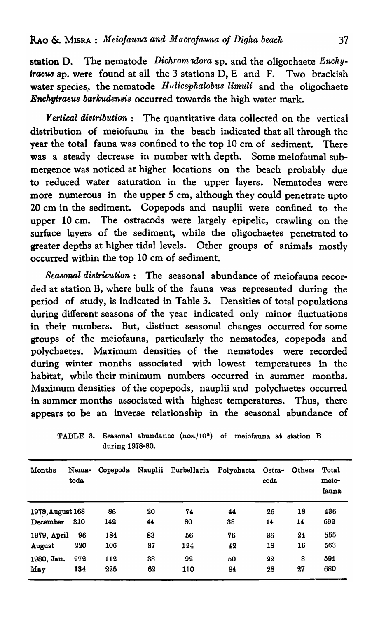station D. The nematode *Dichrom dora* sp. and the oligochaete *Enchy*-*Iraeus* sp. were found at all the 3 stations D, E and F. Two brackish water species, the nematode *Hulicephalobus limuli* and the oligochaete *Enchytraeu8 barkudensis* occurred towards the high water mark.

*Vertical di8tribution:* The quantitative data collected on the vertical distribution of meiofauna in the beach indicated that all through the year the total fauna was confined to the top 10 cm of sediment. There was a steady decrease in number with depth. Some meiofaunal submergence was noticed at higher locations on the beach probably due to reduced water saturation in the upper layers. Nematodes were more numerous in the upper 5 cm, although they could penetrate upto 20 cm in the sediment. Copepods and nauplii were confined to the upper 10 cm. The ostracods were largely epipelic, crawling on the surface layers of the sediment, while the oligochaetes penetrated to greater depths at higher tidal levels. Other groups of animals mostly occurred within the top 10 cm of sediment.

*Seasonal districution:* The seasonal abundance of meiofauna recorded at station B, where bulk of the fauna was represented during the period of study, is indicated in Table 3. Densities of total populations during different seasons of the year indicated only minor fluctuations in their numbers. But, distinct seasonal changes occurred for some groups of the meiofauna, particularly the nematodes, copepods and polychaetes. Maximum densities of the nematodes were recorded during winter months associated with lowest temperatures in the habitat, while their minimum numbers occurred in summer months. Maximum densities of the copepods, nauplii and polychaetes occurred in summer months associated with highest temperatures. Thus, there appears to be an inverse relationship in the seasonal abundance of

| Months           | Nema-<br>toda | Copepoda | Nauplii | Turbellaria | Polychaeta | Ostra-<br>coda | Others | Total<br>meio-<br>fauna |
|------------------|---------------|----------|---------|-------------|------------|----------------|--------|-------------------------|
| 1978, August 168 | 310           | 86       | 20      | 74          | 44         | 26             | 18     | 436                     |
| December         |               | 142      | 44      | 80          | 38         | 14             | 14     | 692                     |
| 1979, April      | 96            | 184      | 83      | 56          | 76         | 36             | 24     | 555                     |
| August           | 220           | 106      | 37      | 124         | 42         | 18             | 16     | 563                     |
| 1980, Jan.       | 272           | 112      | 38      | 92          | 50         | 22             | 8      | 594                     |
| May              | 134           | 225      | 62      | 110         | 94         | 28             | 27     | 680                     |

TABLE 3. Seasonal abundance (nos./10<sup>°</sup>) of meiofauna at station B during 1978-80.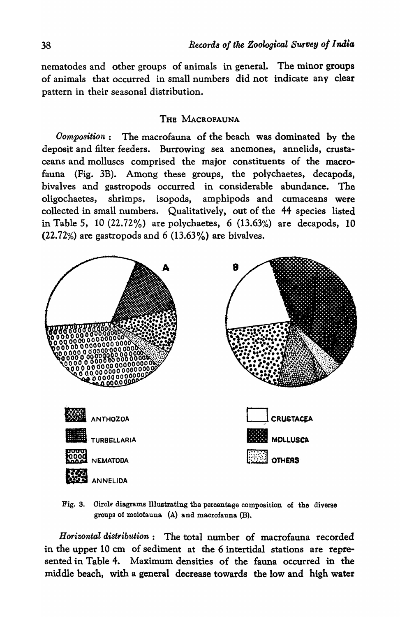nematodes and other groups of animals in general. The minor groups of animals that occurred in small numbers did not indicate any clear pattern in their seasonal distribution.

#### THE MACROFAUNA

*Oomposition:* The macrofauna of the beach was dominated by the deposit and filter feeders. Burrowing sea anemones, annelids, crustaceans and molluscs comprised the major constituents of the macrofauna (Fig. 3B). Among these groups, the polychaetes, decapods, bivalves and gastropods occurred in considerable abundance. The oligochaetes, shrimps, isopods, amphipods and cumaceans were collected in small numbers. Qualitatively, out of the 44 species listed in Table 5, 10  $(22.72\%)$  are polychaetes, 6  $(13.63\%)$  are decapods, 10 (22.72%) are gastropods and 6 (13.63%) are bivalves.



Fig. S. Oircle diagrams Illustrating the percentage composition of the diverse groups of meiofauna. (A) and maorofauna (B).

Horizontal distribution: The total number of macrofauna recorded in the upper 10 em of sediment at the 6 intertidal stations are represented in Table 4. Maximum densities of the fauna occurred in the middle beach, with a general decrease towards the low and high water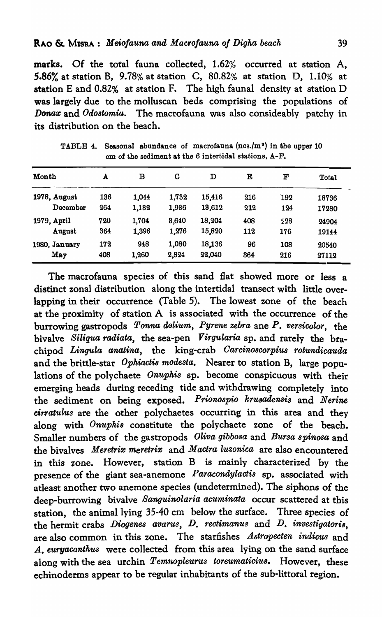marks. Of the total fauna collected, 1.62% occurred at station A, 5.86% at station B, 9.78% at station C, 80.82% at station D, 1.10% at station E and 0.82% at station F. The high faunal density at station D was largely due to the molluscan beds comprising the populations of *Donax* and *Odostomia*. The macrofauna was also consideably patchy in its distribution on the beach.

| Month         | A   | в     | C     | D      | Е   | F   | Total |
|---------------|-----|-------|-------|--------|-----|-----|-------|
| 1978, August  | 136 | 1,044 | 1,732 | 15,416 | 216 | 192 | 18736 |
| December      | 264 | 1,132 | 1,936 | 13,612 | 212 | 124 | 17280 |
| 1979, April   | 720 | 1,704 | 3,640 | 18,204 | 408 | 228 | 24904 |
| August        | 364 | 1,396 | 1,276 | 15,820 | 112 | 176 | 19144 |
| 1980, January | 172 | 948   | 1,080 | 18,136 | 96  | 108 | 20540 |
| May           | 408 | 1,260 | 2,824 | 22,040 | 364 | 216 | 27112 |

TABLE 4. Seasonal abundance of macrofauna (nos./m<sup>2</sup>) in the upper 10 em of the sediment at the 6 intertidal stations, A-F.

The macrofauna species of this sand flat showed more or less a distinct zonal distribution along the intertidal transect with little overlapping in their occurrence (Table 5). The lowest zone of the beach at the proximity of station A is associated with the occurrence of the burrowing gastropods *Tonna dolium, Pyrene zebra* ane P. *versicolor*, the bivalve *Siliqua radiata,* the sea-pen V *irgularia* sp. and rarely the brachipod *Lingula anatina,* the king-crab *Oarcino8corpius rotunaicauda*  and the brittle-star *Ophiactis modesta*. Nearer to station B, large populations of the polychaete *Onuphis* sp. become conspicuous with their emerging heads during receding tide and withdrawing completely into the sediment on being exposed. *Prionospio krusadensis* and *Nerine cirratulus* are the other polychaetes occurring in this area and they along with *Onuphis* constitute the polychaete zone of the beach. Smaller numbers of the gastropods *Oliva gibbosa* and *Bursa spinosa* and the bivalves *Meretrix meretrix* and *Mactra luzonica* are also encountered in this *zone.* However, station B is mainly characterized by the presence of the giant sea-anemone *Paracondylactis* sp. associated with atleast another two anemone species (undetermined). The siphons of the deep-burrowing bivalve *Sanguinolaria acuminata* occur scattered at this station, the animal lying 35-40 cm below the surface. Three species of the hermit crabs *Diogenes avarus, D. rectimanus* and *D. investigatoris,*  are also common in this zone. The starfishes *Astropecten indicus* and *A. euryacanthus* were collected from this area lying on the sand surface along with the sea urchin *Pemnopleuru8 toreumaticius.* However, these echinoderms appear to be regular inhabitants of the sub-littoral region.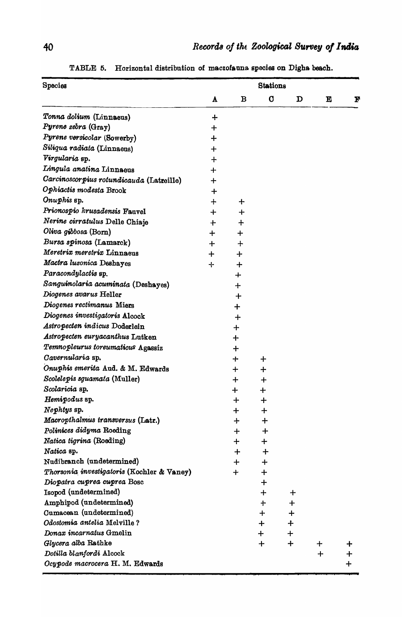| Species                                    |          |          | <b>Stations</b> |         |        |           |
|--------------------------------------------|----------|----------|-----------------|---------|--------|-----------|
|                                            | A        | в        | O               | D       | E      | F         |
| Tonna dolium (Linnaeus)                    | $\div$   |          |                 |         |        |           |
| Pyrene zebra (Gray)                        | $\bm{+}$ |          |                 |         |        |           |
| Pyrene versicolar (Sowerby)                | ┿        |          |                 |         |        |           |
| Siliqua radiata (Linnaeus)                 | $\bm{+}$ |          |                 |         |        |           |
| Virgularia sp.                             | $\div$   |          |                 |         |        |           |
| Lingula anatina Linnaeus                   | $+$      |          |                 |         |        |           |
| Carcinoscorpius rotundicauda (Latreille)   | $\bm{+}$ |          |                 |         |        |           |
| Ophiactis modesta Brook                    | $\div$   |          |                 |         |        |           |
| Onuphis sp.                                | $\bm{+}$ | $\ddag$  |                 |         |        |           |
| Prionospio krusadensis Fauvel              | ┿        | ┿        |                 |         |        |           |
| Nerine cirratulus Delle Chiaje             |          |          |                 |         |        |           |
| Oliva gibbosa (Born)                       | $\div$   | $\bm{+}$ |                 |         |        |           |
| Bursa spinosa (Lamarck)                    | $\div$   | ╋        |                 |         |        |           |
| Meretrix meretrix Linnaeus                 | $\div$   | $\div$   |                 |         |        |           |
| Mactra luzonica Deshayes                   | ┿        | ┿        |                 |         |        |           |
|                                            | ╉        | $\div$   |                 |         |        |           |
| Paracondylactis sp.                        |          | ┿        |                 |         |        |           |
| Sanguinolaria acuminata (Deshayes)         |          | $\div$   |                 |         |        |           |
| Diogenes avarus Heller                     |          | $\div$   |                 |         |        |           |
| Diogenes rectimanus Miers                  |          | $\div$   |                 |         |        |           |
| Diogenes investigatoris Alcock             |          | $\div$   |                 |         |        |           |
| Astropecten indicus Doderlein              |          | ┿        |                 |         |        |           |
| Astropecten euryacanthus Lutken            |          | $\ddag$  |                 |         |        |           |
| Temnopleurus toreumaticus Agassiz          |          | $\div$   |                 |         |        |           |
| Cavernularia sp.                           |          | ╈        | ┿               |         |        |           |
| Onuphis emerita Aud. & M. Edwards          |          | $\div$   | $\bm{+}$        |         |        |           |
| Scolelepis squamata (Muller)               |          | $\div$   | ᆠ               |         |        |           |
| Scolaricia sp.                             |          | ┿        | $\mathbf +$     |         |        |           |
| Hemipodus sp.                              |          | $\div$   | $\bm{+}$        |         |        |           |
| Nephtys sp.                                |          | $\div$   | ┿               |         |        |           |
| Macropthalmus transversus (Latr.)          |          | ┿        | $\div$          |         |        |           |
| Polinices didyma Roeding                   |          | ┿        | ┿               |         |        |           |
| Natica tigrina (Roeding)                   |          | $\ddag$  | $\mathbf +$     |         |        |           |
| Natica sp.                                 |          | ┿        | $\div$          |         |        |           |
| Nudibranch (undetermined)                  |          | $\ddag$  | $\mathbf +$     |         |        |           |
| Thorsonia investigatoris (Kochler & Vaney) |          | $\ddag$  | $\mathbf +$     |         |        |           |
| Diopatra cuprea cuprea Bosc                |          |          | ┿               |         |        |           |
| Isopod (undetermined)                      |          |          | ┿               | ╈       |        |           |
| Amphipod (undetermined)                    |          |          | ተ               | ┿       |        |           |
| Cumacean (undetermined)                    |          |          | $\div$          | $\ddag$ |        |           |
| Odostomia antelia Melville?                |          |          | $+$             | $\div$  |        |           |
| Donax incarnatus Gmelin                    |          |          | $\div$          | ┿       |        |           |
| Glycera alba Rathke                        |          |          | $\ddag$         | $\div$  | $\div$ | ┿         |
| Dotilla blanfordi Alcock                   |          |          |                 |         | $\div$ | ┿         |
| Ocypode macrocera H. M. Edwards            |          |          |                 |         |        | $\ddot{}$ |

TABLE 5. Horizontal distribution of macrofauna species on Digha beach.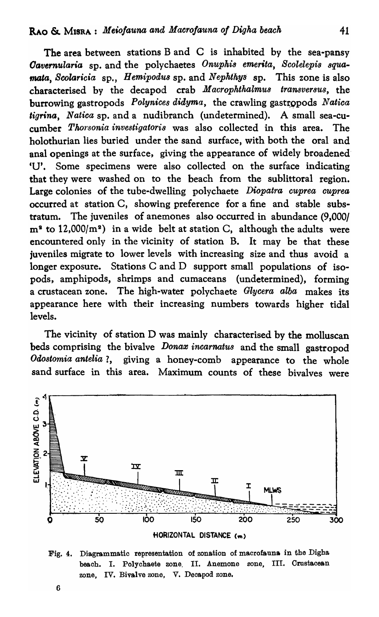The area between stations Band C is inhabited by the sea-pansy *Cavernularia* sp. and the polychaetes *Onuphis emerita*, *Scolelepis squamata, Scolaricia* sp., *Hemipodus* sp. and *Nephthys* sp. This zone is also characterised by the decapod crab *Macrophthalmu8 transver8us,* the burrowing gastropods *Polynices didyma*, the crawling gastropods *Natica ligrina, Natica* sp. and a nudibranch (undetermined). A small sea-cucumber *Tlwrsonia investigatoris* was also collected in this area. The holothurian lies buried under the sand surface, with both the oral and anal openings at the surface, giving the appearance of widely broadened' 'U'. Some specimens were also collected on the surface indicating that they were washed on to the beach from the sublittoral region. Large colonies of the tube-dwelling polychaete *Diopatra cuprea cuprea*  occurred at station C, showing preference for a fine and stable substratum. The juveniles of anemones also occurred in abundance (9,000)  $m^2$  to 12,000/ $m^2$ ) in a wide belt at station C, although the adults were encountered only in the vicinity of station B. It may be that these juveniles migrate to lower levels with increasing size and thus avoid a longer exposure. Stations C and D support small populations of isopods, amphipods, shrimps and cumaceans (undetermined), forming a crustacean zone. The high-water polychaete *Glycera alba* makes its appearance here with their increasing numbers towards higher tidal levels.

The vicinity of station D was mainly characterised by the molluscan beds comprising the bivalve *Donaz incarnatu8* and the small gastropod *Odostomia antelia?*, giving a honey-comb appearance to the whole sand surface in this area. Maximum counts of these bivalves were



HORIZONTAL DISTANCE (m)

Fig. 4. Diagrammatic representation of zonation of macrofauna in the Digha beach. I. Polychaete zone, II. Anemone zone, III. Crustacean zone, IV. Bivalve zone, V. Decapod zone.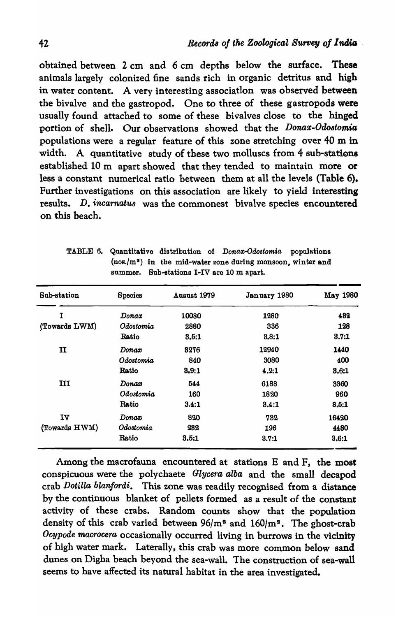obtained between 2 cm and 6 cm depths below the surface. These animals largely colonized fine sands rich in organic detritus and high in water content. A very interesting association was observed between the bivalve and the gastropod. One to three of these gastropods were usually found attached to some of these bivalves close to the hinged portion of shell. Our observations showed that the *Donax-Odostomia* populations were a regular feature of this zone stretching over 40 m in width. A quantitative study of these two molluscs from 4 sub-stations established 10 m apart showed that they tended to maintain more or less a constant numerical ratio between them at all the levels (Table 6). Further investigations on this association are likely to yield interesting results. D. *incarnatus* was the commonest bivalve species encountered on this heach.

| Sub-station   | Species          | Ausust 1979 | January 1980 | May 1980 |
|---------------|------------------|-------------|--------------|----------|
| T             | $\it{Donax}$     | 10080       | 1280         | 432      |
| (Towards LWM) | Odostomia        | 2880        | 336          | 128      |
|               | Ratio            | 3,5:1       | 3.8:1        | 3.7:1    |
| II            | Donax            | 8276        | 12940        | 1440     |
|               | Odostomia        | 840         | 3080         | 400      |
|               | <b>Ratio</b>     | 3.9:1       | 4.2:1        | 3.6:1    |
| III           | Donax            | 544         | 6188         | 3360     |
|               | Odostomia        | 160         | 1820         | 960      |
|               | Ratio            | 3.4:1       | 3.4:1        | 3.5:1    |
| $I\Lambda$    | $\mathit{Donax}$ | 820         | 732          | 16420    |
| (Towards HWM) | Odostomia        | 232         | 196          | 4480     |
|               | Ratio            | 3.5:1       | 3.7:1        | 3,6:1    |

TABLE 6. Quantitative distribution of *Donax-Odostomia* populations (nos./m<sup>2</sup>) in the mid-water zone during monsoon, winter and summer. Sub-stations I-IV are 10 m apart.

Among the macrofauna encountered at stations E and F, the most conspicuous were the polychaete Glycera alba and the small decapod crab Dotilla blanfordi. This zone was readily recognised from a distance by the continuous blanket of pellets formed as a result of the constant activity of these crabs. Random counts show that the population density of this crab varied between  $96/m^2$  and  $160/m^2$ . The ghost-crab Ocypode macrocera occasionally occurred living in burrows in the vicinity of high water mark. Laterally, this crab was more common below sand dunes on Digha beach beyond the sea-wall. The construction of sea-wall seems to have affected its natural habitat in the area investigated.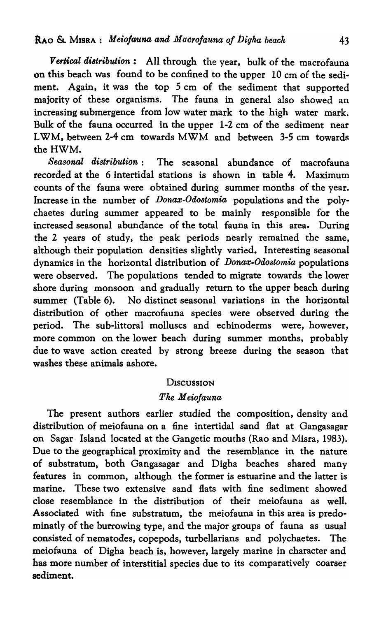*Vertical di8tribution:* All through the year, buJk of the macrofauna on this beach was found to be confined to the upper 10 cm of the sediment. Again, it was the top  $5 \text{ cm}$  of the sediment that supported majority of these organisms. The fauna in general also showed an increasing submergence from low water mark to the high water mark. Bulk of the fauna occurred in the upper 1-2 cm of the sediment near LWM, between 2-4 em towards MWM and between 3-5 em towards the HWM.

*Seasonal distribution:* The seasonal abundance of macrofauna recorded at the 6 intertidal stations is shown in table 4. Maximum counts of the fauna were obtained during summer months of the year. Increase in the number of *Donax·Odostomia* populations and the polychaetes during summer appeared to be mainly responsible for the increased seasonal abundance of the total fauna in this area. During the 2 years of study, the peak periods nearly remained the same, although their population densities slightly varied. Interesting seasonal dynamics in the horizontal distribution of *Donax-Odostomia* populations were observed. The populations tended to migrate towards the lower shore during monsoon and gradually return to the upper beach during summer (Table 6). No distinct seasonal variations in the horizontal distribution of other macrofauna species were observed during the period. The sub-littoral molluscs and echinoderms were, however, more common on the lower beach during summer months, probably due to wave action created by strong breeze during the season that washes these animals ashore.

#### **DISCUSSION**

#### *The M eioJauna*

The present authors earlier studied the composition, density and distribution of meiofauna on a fine intertidal sand flat at Gangasagar on Sagar Island located at the Gangetic mouths (Rao and Misra, 1983). Due to the geographical proximity and the resemblance in the nature of substratum, both Gangasagar and Digha beaches shared many features in common, although the former is estuarine and the latter is marine. These two extensive sand flats with fine sediment showed close resemblance in the distribution of their meiofauna as well. Associated with fine substratum, the meiofauna in this area is predominatly of the burrowing type, and the major groups of fauna as usual consisted of nematodes, copepods, turbellarians and polychaetes. The meiofauna of Digha beach is, however, largely marine in character and bas more nunlber of interstitial species due to its comparatively coarser sediment.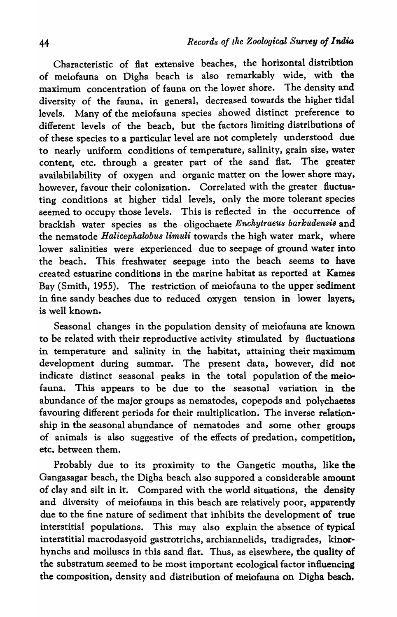Characteristic of flat extensive beaches, the horizontal distribtion of meiofauna on Digha beach is also remarkably wide, with the maximum concentration of fauna on the lower shore. The density and diversity of the fauna, in general, decreased towards the higher tidal levels. Many of the meiofauna species showed distinct preference to different levels of the beach, but the factors limiting distributions of of these species to a particular level are not completely understood due to nearly uniform conditions of temperature, salinity, grain size, water content, etc. through a greater part of the sand flat. The greater availabilability of oxygen and organic matter on the lower shore may, however, favour their colonization. Correlated with the greater fluctuating conditions at higher tidal levels, only the more tolerant species seemed to occupy those levels. This is reflected in the occurrence of brackish water species as the oligochaete *Enchytraeus barkudensi8* and the nematode *Halicephalobus limuli* towards the high water mark, where lower salinities were experienced due to seepage of ground water into the beach. This freshwater seepage into the beach seems to have created estuarine conditions in the marine habitat as reported at Kames Bay (Smith, 1955). The restriction of meiofauna to the upper 'sediment in fine sandy beaches due to reduced oxygen tension in lower layers, is well known.

Seasonal changes in the population density of meiofauna are known to be related with their reproductive activity stimulated by fluctuations in temperature and salinity in the habitat, attaining their maximum development during summar. The present data, however, did not indicate distinct seasonal peaks in the total population of the meiofauna. This appears to be due to the seasonal variation in the abundance of the major groups as nematodes, copepods and polychaetes favouring different periods for their multiplication. The inverse relationship in the seasonal abundance of nematodes and some other groups of animals is also suggestive of the effects of predation, competition, etc. between them.

Probably due to its proximity to the Gangetic mouths, like the Gangasagar beach, the Digha beach also suppored a considerable amount of clay and silt in it. Compared with the world situations, the density and diversity of meiofauna in this beach are relatively poor, apparently due to the fine nature of sediment that inhibits the development of true interstitial populations. This may also explain the absence of typical interstitial macrodasyoid gastrotrichs, archiannelids, tradigrades, kinorhynchs and molluscs in this sand flat. Thus, as elsewhere, the quality of the substratum seemed to be most important ecological factor influencing the composition, density and distribution of meiofauna on Digha beach.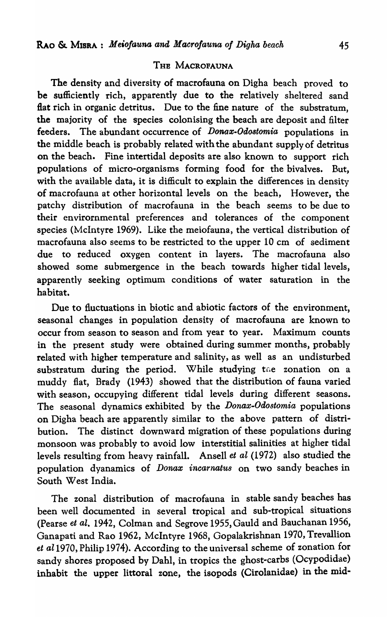### THE MACROFAUNA

The density and diversity of macrofauna on Digha beach proved to be sufficiently rich, apparently due to the relatively sheltered sand flat rich in organic detritus. Due to the fine nature of the substratum, the majority of the species colonising the beach are deposit and filter feeders. The abundant occurrence of *Donax-Odostomia* populations in the middle beach is probably related with the abundant supply of detritus on the beach. Fine intertidal deposits are also known to support rich populations of micro-organisms forming food for the bivalves. But, with the available data, it is difficult to explain the differences in density of macrofauna at other horizontal levels on the beach, However, the patchy distribution of macrofauna in the beach seems to be due to their envirornmental preferences and tolerances of the component species (McIntyre 1969). Like the meiofauna, the vertical distribution of macrofauna also seems to be restricted to the upper 10 cm of sediment due to reduced oxygen content in layers. The macrofauna also showed some submergence in the beach towards higher tidal levels, apparently seeking optimum conditions of water saturation in the habitat.

Due to fluctuations in biotic and abiotic factors of the environment, seasonal changes in population density of macrofauna are known to occur from season to season and from year to year. Maximum counts in the present study were obtained during summer months, probably related with higher temperature and salinity, as well as an undisturbed substratum during the period. While studying the zonation on a muddy flat, Brady (1943) showed that the distribution of fauna varied with season, occupying different tidal levels during different seasons. The seasonal dynamics exhibited by the *Donax-Odo8tomia* populations on Digha beach are apparently similar to the above pattern of distribution. The distinct downward migration of these populations during monsoon was probably to avoid low interstitial salinities at higher tidal levels resulting from heavy rainfall. Ansell *et al* (1972) also studied the population dyanamics of *Donax incarnatus* on two sandy beaches in South West India.

The zonal distribution of macrofauna in stable sandy beaches has been well documented in several tropical and sub-tropical situations (Pearse *et al.* 1942, Colman and Segrove 1955, Gauld and Bauchanan 1956, Ganapati and Rao 1962, McIntyre 1968, Gopalakrishnan 1970, Trevallion *et al1970,* Philip 1974). According to the universal scheme of zonation for sandy shores proposed by Dahl, in tropics the ghost-carbs (Ocypodidae) inhabit the upper littoral zone, the isopods (Cirolanidae) in the mid-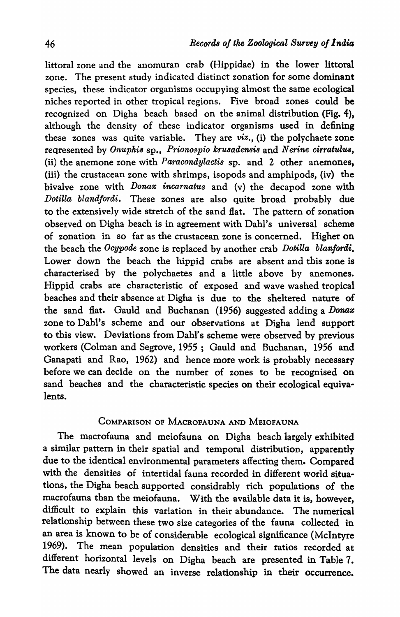littoral zone and the anomuran crab (Hippidae) in the lower littoral zone. The present study indicated distinct zonation for some dominant species, these indicator organisms occupying almost the same ecological niches reported in other tropical regions. Five broad zones could be recognized on Digha beach based on the animal distribution (Fig. 4), although the density of these indicator organisms used in defining these zones was quite variable. They are *viz.,* (i) the polychaete zone reqresented by *Onuphis* sp., *Prionospio krusadensis* and *Nerine cirratulus*, (ii) the anemone zone with *Paracondylactis* sp. and 2 other anemones, (iii) the crustacean zone with shrimps, isopods and amphipods, (iv) the bivalve zone with *Donax incarnatus* and (v) the decapod zone with *Dotilla blandfordi.* These zones are also quite broad probably due to the extensively wide stretch of the sand flat. The pattern of zonation observed on Digha beach is in agreement with Dahl's universal scheme of zonation in so far as the crustacean zone is concerned. Higher on the beach the *Ocypode* zone is replaced by another crab *Dotilla blanfordi*. Lower down the beach the hippid crabs are absent and this zone is characterised by the polychaetes and a little above by anemones. Hippid crabs are characteristic of exposed and wave washed tropical beaches and their absence at Digha is due to the sheltered nature of the sand flat. Gauld and Buchanan (1956) suggested adding a *Donax*  zone to Dahl's scheme and our observations at Digha lend support to this view. Deviations from Dahl's scheme were observed by previous workers (Colman and Segrove, 1955; Gauld and Buchanan, 1956 and Ganapati and Rao, 1962) and hence more work is probably necessary before we can decide on the number of zones to be recognised on sand beaches and the characteristic species on their ecological equivalents.

# COMPARISON OF MACROFAUNA AND MEIOFAUNA

The macrofauna and meiofauna on Digha beach largely exhibited a similar pattern in their spatial and temporal distribution, apparently due to the identical environmental parameters affecting them. Compared with the densities of intertidal fauna recorded in different world situations, the Digha beach supported considrably rich populations of the macrofauna than the meiofauna. With the available data it is, however, difficult to explain this variation in their abundance. The numerical relationship between these two size categories of the fauna collected in an area is known to be of considerable ecological significance (McIntyre 1969). The mean population densities and their ratios recorded at different horizontal levels on Digha beach are presented in Table 7. The data nearly showed an inverse relationship in their occurrence.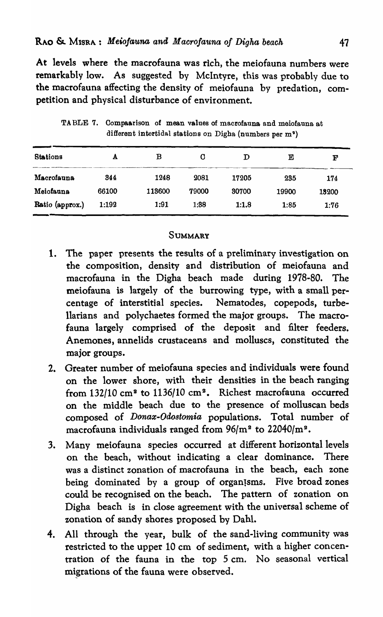At levels where the macrofauna was rich, the meiofauna numbers were remarkably low. As suggested by McIntyre, this was probably due to the macrofauna affecting the density of meiofauna by predation, competition and physical disturbance of environment.

| <b>Stations</b> | A     | в      | O     | D     | Е     | F     |
|-----------------|-------|--------|-------|-------|-------|-------|
| Macrofauna      | 344   | 1248   | 2081  | 17205 | 235   | 174   |
| Meiofauna       | 66100 | 113600 | 79000 | 30700 | 19900 | 13200 |
| Ratio (approx.) | 1:192 | 1:91   | 1:38  | 1:1.8 | 1:85  | 1:76  |

TABLE 7. Compaarison of mean values of macrofauna and meiofauna at different intertidal stations on Digha (numbers per m')

### **SUMMARY**

- 1. The paper presents the results of a preliminary investigation on the composition, density and distribution of meiofauna and macrofauna in the Digha beach made during 1978-80. The meiofauna is largely of the burrowing type, with a small percentage of interstitial species. Nematodes, copepods, turbe-Ilarians and polychaetes formed the major groups. The macrofauna largely comprised of the deposit and filter feeders. Anemones, annelids crustaceans and molluscs, constituted the major groups.
- 2. Greater number of meiofauna species and individuals were found on the lower shore, with their densities in the beach ranging from 132/10 cm<sup>2</sup> to 1136/10 cm<sup>2</sup>. Richest macrofauna occurred on the middle beach due to the presence of molluscan beds composed of *Donax-Odostomia* populations. Total number of macrofauna individuals ranged from  $96/m^2$  to  $22040/m^2$ .
- 3. Many meiofauna species occurred at different horizontal levels on the beach, without indicating a clear dominance. There was a distinct zonation of macrofauna in the beach, each zone being dominated by a group of organisms. Five broad zones could be recognised on the beach. The pattern of zonation on Digha beach is in close agreement with the universal scheme of zonation of sandy shores proposed by Dahl.
- 4. All through the year, bulk of the sand-living community was restricted to the upper 10 cm of sediment, with a higher concentration of the fauna in the top 5 cm. No seasonal vertical migrations of the fauna were observed.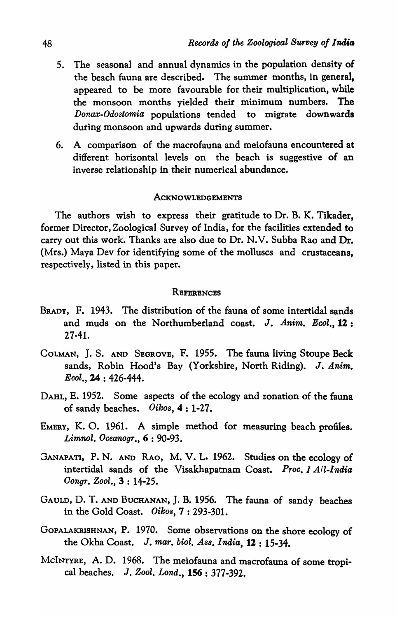- 5. The seasonal and annual dynamics in the population density of the beach fauna are described. The summer months, in general, appeared to be more favourable for their multiplication, while the monsoon months yielded their minimum numbers. The *Donax-Odostomia* populations tended to migrate downwards during monsoon and upwards during summer.
- 6. A comparison of the macrofauna and meiofauna encountered at different horizontal levels on the beach is suggestive of an inverse relationship in their numerical abundance.

#### ACKNOWLEDGEMENTS

The authors wish to express their gratitude to Dr. B. K. Tikader, former Director, Zoological Survey of India, for the facilities extended to carry out this work. Thanks are also due to Dr. N.V. Subba Rao and Dr. (Mrs.) Maya Dev for identifying some of the molluscs and crustaceans, respectively, listed in this paper.

#### **REFERENCES**

- BRADY, F. 1943. The distribution of the fauna of some intertidal sands and muds on the Northumberland coast. J. Anim. Ecol., 12: 27·41.
- COLMAN, J. S. AND SEGROVE, F. 1955. The fauna living Stoupe Beck sands, Robin Hood's Bay (Yorkshire, North Riding). J. *Anim. Ecol.,* 24 : 426-444.
- DAHL, E. 1952. Some aspects of the ecology and zonation of the fauna of sandy beaches. *Oiko8,* 4 : 1-27.
- EMERY, K. O. 1961. A simple method for measuring beach profiles. *Limnol. Oceanogr.,* 6 : 90-93.
- GANAPATI, P. N. AND RAO, M. V. L. 1962. Studies on the ecology of intertidal sands of the Visakhapatnam Coast. *Proc. 1 All-India Oongr. Zoot.,* 3 : 14-25.
- GAULD, D. T. AND BUCHANAN, J. B. 1956. The fauna of sandy beaches in the Gold Coast. *Oikos,7: 293-301.*
- GOPALAKRISHNAN, P. 1970. Some observations on the shore ecology of the Okha Coast. J. *mar. biol. AS8. India,* 12 : 15-34.
- McINTYRE, A. D. 1968. The meiofauna and macrofauna of some tropical beaches. J. *Zool. Lond.,* 156 : 377-392.